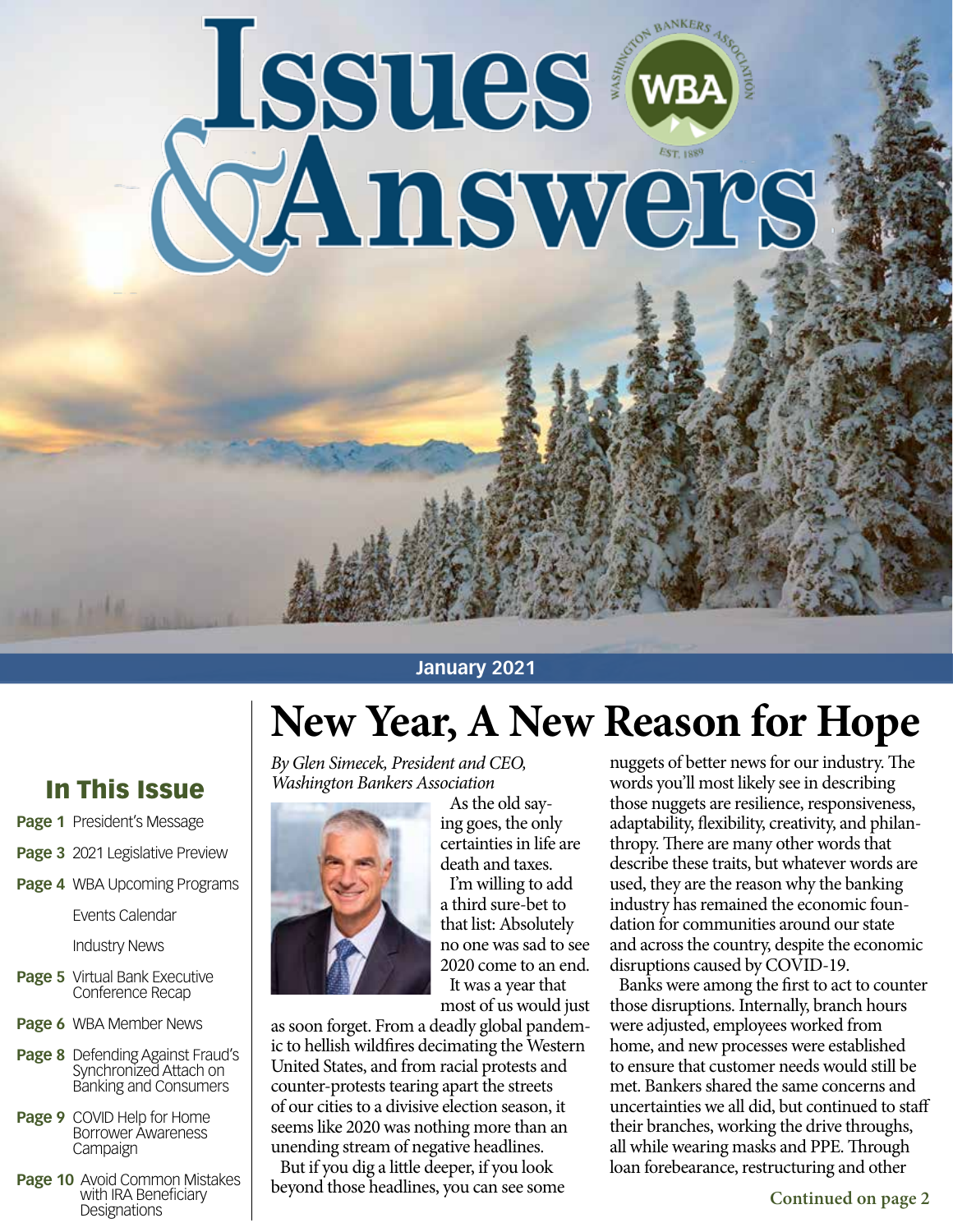# Issues (

#### **January 2021**

# **New Year, A New Reason for Hope**

*By Glen Simecek, President and CEO, Washington Bankers Association*



As the old saying goes, the only certainties in life are death and taxes.

I'm willing to add a third sure-bet to that list: Absolutely no one was sad to see 2020 come to an end. It was a year that

most of us would just as soon forget. From a deadly global pandemic to hellish wildfires decimating the Western United States, and from racial protests and counter-protests tearing apart the streets of our cities to a divisive election season, it seems like 2020 was nothing more than an unending stream of negative headlines.

But if you dig a little deeper, if you look beyond those headlines, you can see some nuggets of better news for our industry. The words you'll most likely see in describing those nuggets are resilience, responsiveness, adaptability, flexibility, creativity, and philanthropy. There are many other words that describe these traits, but whatever words are used, they are the reason why the banking industry has remained the economic foundation for communities around our state and across the country, despite the economic disruptions caused by COVID-19.

Banks were among the first to act to counter those disruptions. Internally, branch hours were adjusted, employees worked from home, and new processes were established to ensure that customer needs would still be met. Bankers shared the same concerns and uncertainties we all did, but continued to staff their branches, working the drive throughs, all while wearing masks and PPE. Through loan forebearance, restructuring and other

## In This Issue

- **Page 1** President's Message
- **Page 3** 2021 Legislative Preview
- **Page 4** WBA Upcoming Programs

Events Calendar

Industry News

- **Page 5** Virtual Bank Executive<br>Conference Recap
- **Page 6** WBA Member News
- **Page 8** Defending Against Fraud's Synchronized Attach on Banking and Consumers
- **Page 9** COVID Help for Home Borrower Awareness Campaign
- **Page 10** Avoid Common Mistakes with IRA Beneficiary **Designations**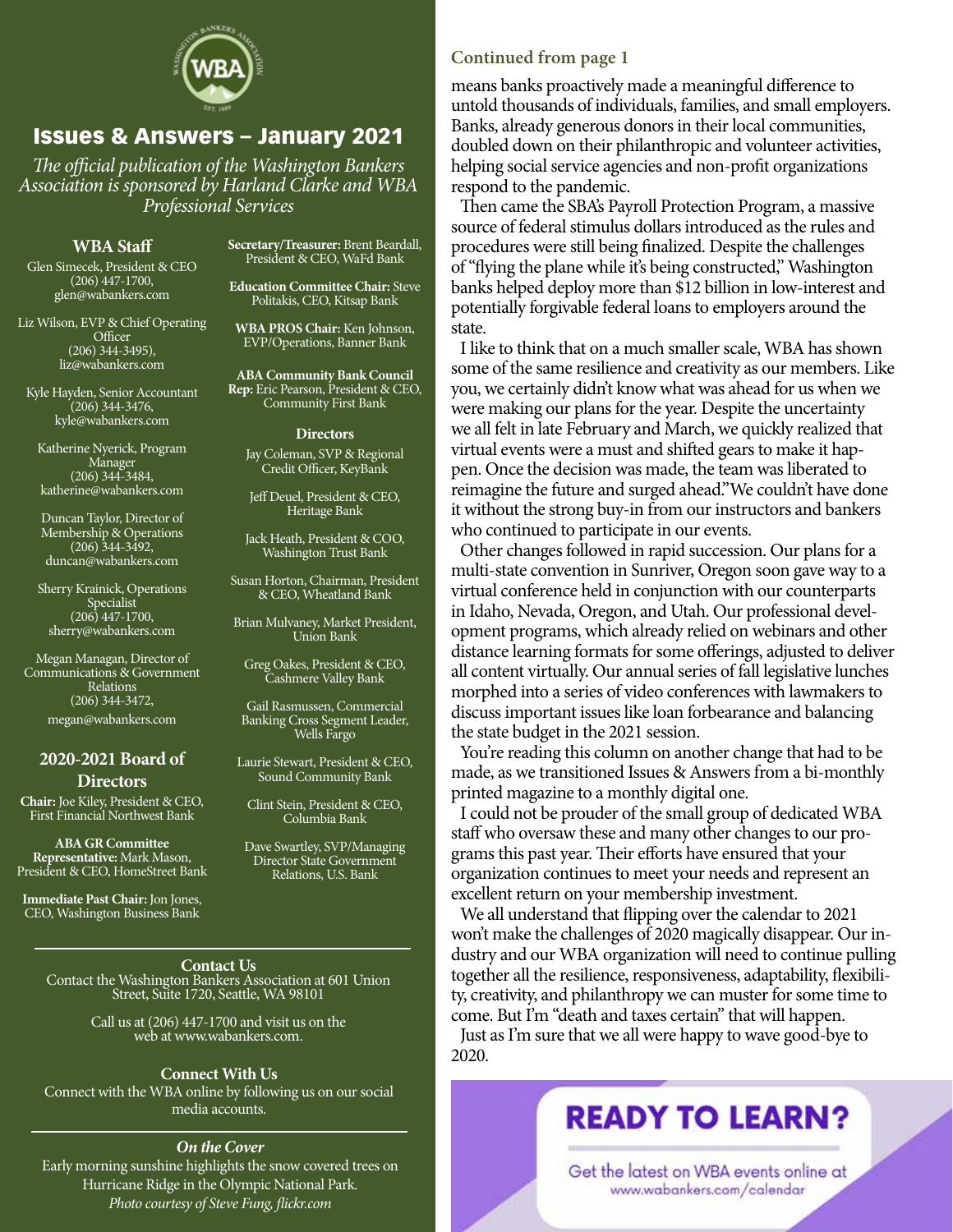

#### Issues & Answers – January 2021

*The official publication of the Washington Bankers Association is sponsored by Harland Clarke and WBA Professional Services*

#### **WBA Staff**

Glen Simecek, President & CEO (206) 447-1700, glen@wabankers.com

Liz Wilson, EVP & Chief Operating **Officer**  $(206)$  344-3495), liz@wabankers.com

Kyle Hayden, Senior Accountant  $(206)$  344-3476, kyle@wabankers.com

Katherine Nyerick, Program Manager (206) 344-3484, katherine@wabankers.com

Duncan Taylor, Director of Membership & Operations (206) 344-3492, duncan@wabankers.com

Sherry Krainick, Operations Specialist (206) 447-1700, sherry@wabankers.com

Megan Managan, Director of Communications & Government Relations (206) 344-3472, megan@wabankers.com

#### **2020-2021 Board of Directors**

**Chair:** Joe Kiley, President & CEO, First Financial Northwest Bank

**ABA GR Committee Representative:** Mark Mason, President & CEO, HomeStreet Bank

**Immediate Past Chair:** Jon Jones, CEO, Washington Business Bank

**Secretary/Treasurer:** Brent Beardall, President & CEO, WaFd Bank

**Education Committee Chair:** Steve Politakis, CEO, Kitsap Bank

**WBA PROS Chair:** Ken Johnson, EVP/Operations, Banner Bank

**ABA Community Bank Council Rep:** Eric Pearson, President & CEO, Community First Bank

#### **Directors**

Jay Coleman, SVP & Regional Credit Officer, KeyBank

Jeff Deuel, President & CEO, Heritage Bank

Jack Heath, President & COO, Washington Trust Bank

Susan Horton, Chairman, President & CEO, Wheatland Bank

Brian Mulvaney, Market President, Union Bank

Greg Oakes, President & CEO, Cashmere Valley Bank

Gail Rasmussen, Commercial Banking Cross Segment Leader, Wells Fargo

Laurie Stewart, President & CEO, Sound Community Bank

Clint Stein, President & CEO, Columbia Bank

Dave Swartley, SVP/Managing Director State Government Relations, U.S. Bank

**Contact Us** Contact the Washington Bankers Association at 601 Union Street, Suite 1720, Seattle, WA 98101

> Call us at (206) 447-1700 and visit us on the web at www.wabankers.com.

#### **Connect With Us**

Connect with the WBA online by following us on our social media accounts.

#### *On the Cover*

Early morning sunshine highlights the snow covered trees on Hurricane Ridge in the Olympic National Park. *Photo courtesy of Steve Fung, flickr.com*

#### **Continued from page 1**

means banks proactively made a meaningful difference to untold thousands of individuals, families, and small employers. Banks, already generous donors in their local communities, doubled down on their philanthropic and volunteer activities, helping social service agencies and non-profit organizations respond to the pandemic.

Then came the SBA's Payroll Protection Program, a massive source of federal stimulus dollars introduced as the rules and procedures were still being finalized. Despite the challenges of "flying the plane while it's being constructed," Washington banks helped deploy more than \$12 billion in low-interest and potentially forgivable federal loans to employers around the state.

I like to think that on a much smaller scale, WBA has shown some of the same resilience and creativity as our members. Like you, we certainly didn't know what was ahead for us when we were making our plans for the year. Despite the uncertainty we all felt in late February and March, we quickly realized that virtual events were a must and shifted gears to make it happen. Once the decision was made, the team was liberated to reimagine the future and surged ahead."We couldn't have done it without the strong buy-in from our instructors and bankers who continued to participate in our events.

Other changes followed in rapid succession. Our plans for a multi-state convention in Sunriver, Oregon soon gave way to a virtual conference held in conjunction with our counterparts in Idaho, Nevada, Oregon, and Utah. Our professional development programs, which already relied on webinars and other distance learning formats for some offerings, adjusted to deliver all content virtually. Our annual series of fall legislative lunches morphed into a series of video conferences with lawmakers to discuss important issues like loan forbearance and balancing the state budget in the 2021 session.

You're reading this column on another change that had to be made, as we transitioned Issues & Answers from a bi-monthly printed magazine to a monthly digital one.

I could not be prouder of the small group of dedicated WBA staff who oversaw these and many other changes to our programs this past year. Their efforts have ensured that your organization continues to meet your needs and represent an excellent return on your membership investment.

We all understand that flipping over the calendar to 2021 won't make the challenges of 2020 magically disappear. Our industry and our WBA organization will need to continue pulling together all the resilience, responsiveness, adaptability, flexibility, creativity, and philanthropy we can muster for some time to come. But I'm "death and taxes certain" that will happen.

Just as I'm sure that we all were happy to wave good-bye to 2020.

## **READY TO LEARN?**

Get the latest on WBA events online at www.wabankers.com/calendar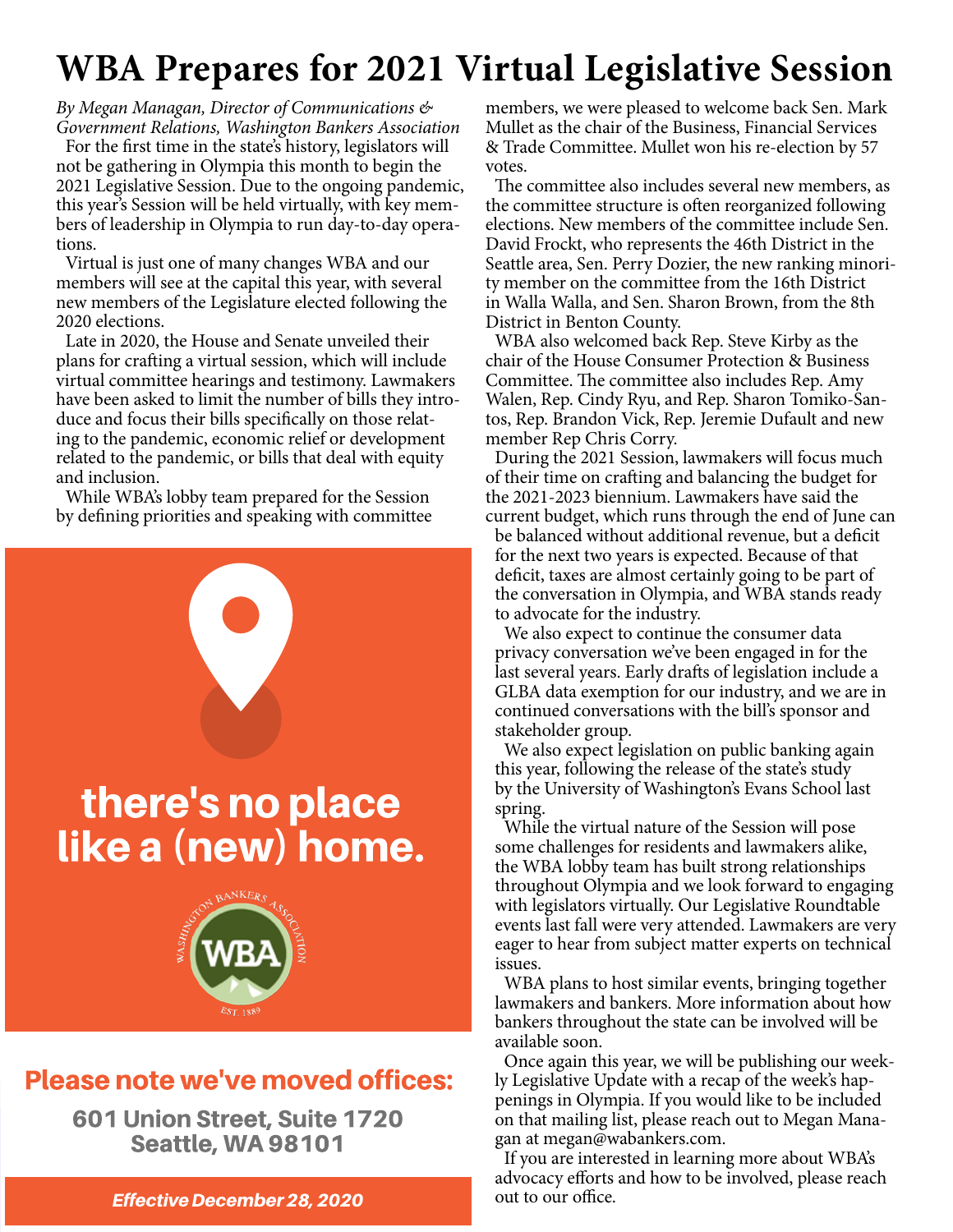# **WBA Prepares for 2021 Virtual Legislative Session**

*By Megan Managan, Director of Communications & Government Relations, Washington Bankers Association* For the first time in the state's history, legislators will not be gathering in Olympia this month to begin the 2021 Legislative Session. Due to the ongoing pandemic, this year's Session will be held virtually, with key members of leadership in Olympia to run day-to-day operations.

Virtual is just one of many changes WBA and our members will see at the capital this year, with several new members of the Legislature elected following the 2020 elections.

Late in 2020, the House and Senate unveiled their plans for crafting a virtual session, which will include virtual committee hearings and testimony. Lawmakers have been asked to limit the number of bills they introduce and focus their bills specifically on those relating to the pandemic, economic relief or development related to the pandemic, or bills that deal with equity and inclusion.

While WBA's lobby team prepared for the Session by defining priorities and speaking with committee



## Please note we've moved offices:

601 Union Street, Suite 1720 Seattle, WA 98101

**Effective December 28, 2020** 

members, we were pleased to welcome back Sen. Mark Mullet as the chair of the Business, Financial Services & Trade Committee. Mullet won his re-election by 57 votes.

The committee also includes several new members, as the committee structure is often reorganized following elections. New members of the committee include Sen. David Frockt, who represents the 46th District in the Seattle area, Sen. Perry Dozier, the new ranking minority member on the committee from the 16th District in Walla Walla, and Sen. Sharon Brown, from the 8th District in Benton County.

WBA also welcomed back Rep. Steve Kirby as the chair of the House Consumer Protection & Business Committee. The committee also includes Rep. Amy Walen, Rep. Cindy Ryu, and Rep. Sharon Tomiko-Santos, Rep. Brandon Vick, Rep. Jeremie Dufault and new member Rep Chris Corry.

During the 2021 Session, lawmakers will focus much of their time on crafting and balancing the budget for the 2021-2023 biennium. Lawmakers have said the current budget, which runs through the end of June can be balanced without additional revenue, but a deficit for the next two years is expected. Because of that

deficit, taxes are almost certainly going to be part of the conversation in Olympia, and WBA stands ready to advocate for the industry.

We also expect to continue the consumer data privacy conversation we've been engaged in for the last several years. Early drafts of legislation include a GLBA data exemption for our industry, and we are in continued conversations with the bill's sponsor and stakeholder group.

We also expect legislation on public banking again this year, following the release of the state's study by the University of Washington's Evans School last spring.

While the virtual nature of the Session will pose some challenges for residents and lawmakers alike, the WBA lobby team has built strong relationships throughout Olympia and we look forward to engaging with legislators virtually. Our Legislative Roundtable events last fall were very attended. Lawmakers are very eager to hear from subject matter experts on technical issues.

WBA plans to host similar events, bringing together lawmakers and bankers. More information about how bankers throughout the state can be involved will be available soon.

Once again this year, we will be publishing our weekly Legislative Update with a recap of the week's happenings in Olympia. If you would like to be included on that mailing list, please reach out to Megan Managan at megan@wabankers.com.

If you are interested in learning more about WBA's advocacy efforts and how to be involved, please reach out to our office.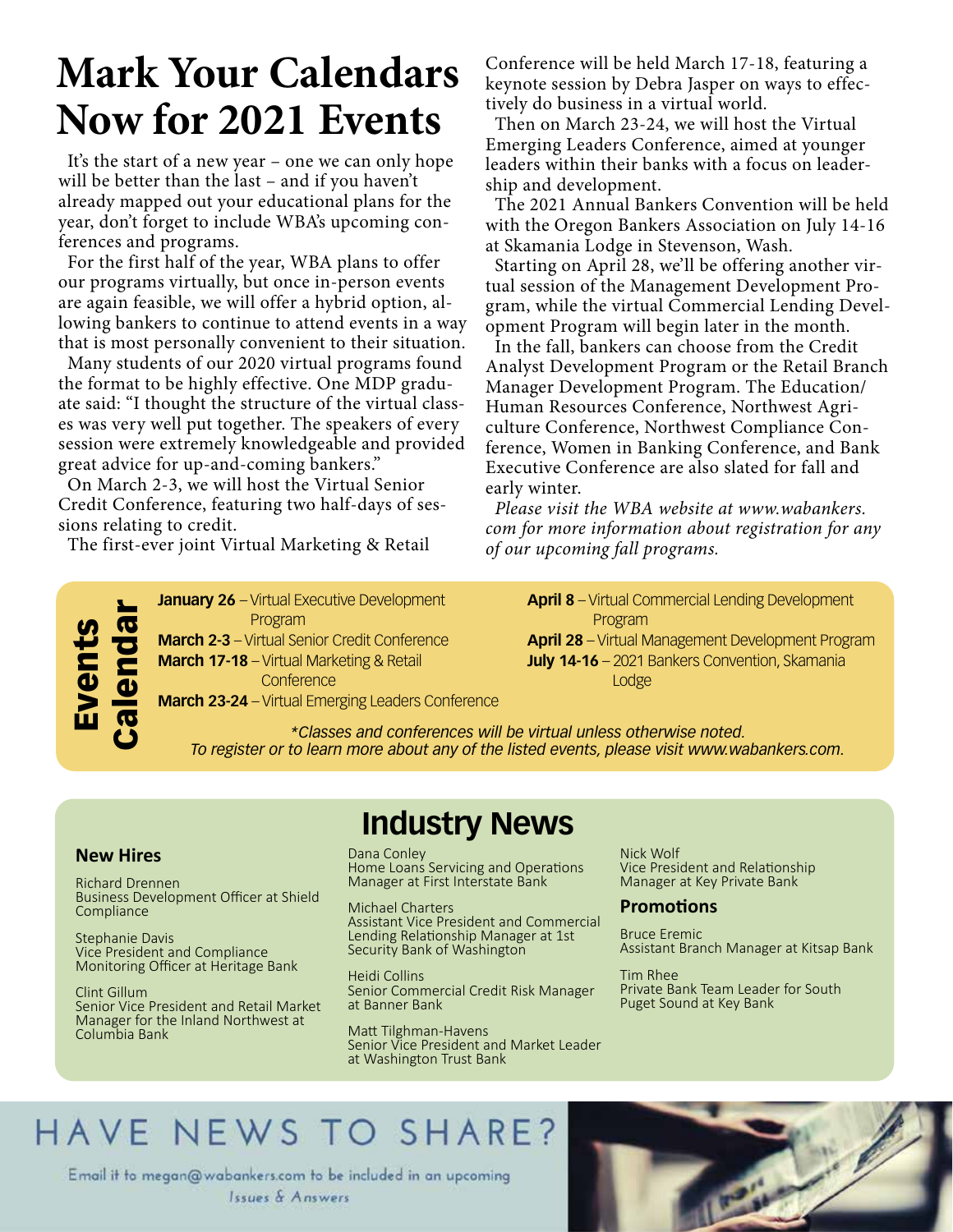# **Mark Your Calendars Now for 2021 Events**

It's the start of a new year – one we can only hope will be better than the last – and if you haven't already mapped out your educational plans for the year, don't forget to include WBA's upcoming conferences and programs.

For the first half of the year, WBA plans to offer our programs virtually, but once in-person events are again feasible, we will offer a hybrid option, allowing bankers to continue to attend events in a way that is most personally convenient to their situation.

Many students of our 2020 virtual programs found the format to be highly effective. One MDP graduate said: "I thought the structure of the virtual classes was very well put together. The speakers of every session were extremely knowledgeable and provided great advice for up-and-coming bankers."

On March 2-3, we will host the Virtual Senior Credit Conference, featuring two half-days of sessions relating to credit.

The first-ever joint Virtual Marketing & Retail

**January 26** – Virtual Executive Development Program

**March 2-3** – Virtual Senior Credit Conference **March 17-18** – Virtual Marketing & Retail **Conference** 

**March 23-24** – Virtual Emerging Leaders Conference

Conference will be held March 17-18, featuring a keynote session by Debra Jasper on ways to effectively do business in a virtual world.

Then on March 23-24, we will host the Virtual Emerging Leaders Conference, aimed at younger leaders within their banks with a focus on leadership and development.

The 2021 Annual Bankers Convention will be held with the Oregon Bankers Association on July 14-16 at Skamania Lodge in Stevenson, Wash.

Starting on April 28, we'll be offering another virtual session of the Management Development Program, while the virtual Commercial Lending Development Program will begin later in the month.

In the fall, bankers can choose from the Credit Analyst Development Program or the Retail Branch Manager Development Program. The Education/ Human Resources Conference, Northwest Agriculture Conference, Northwest Compliance Conference, Women in Banking Conference, and Bank Executive Conference are also slated for fall and early winter.

*Please visit the WBA website at www.wabankers. com for more information about registration for any of our upcoming fall programs.*

**April 8** – Virtual Commercial Lending Development Program **April 28** – Virtual Management Development Program **July 14-16** – 2021 Bankers Convention, Skamania

Lodge

*\*Classes and conferences will be virtual unless otherwise noted. To register or to learn more about any of the listed events, please visit www.wabankers.com.* 

#### **New Hires**

Events

Calendar

Richard Drennen Business Development Officer at Shield **Compliance** 

Stephanie Davis Vice President and Compliance Monitoring Officer at Heritage Bank

Clint Gillum Senior Vice President and Retail Market Manager for the Inland Northwest at Columbia Bank

**Industry News**

Dana Conley Home Loans Servicing and Operations Manager at First Interstate Bank

Michael Charters Assistant Vice President and Commercial Lending Relationship Manager at 1st Security Bank of Washington

Heidi Collins Senior Commercial Credit Risk Manager at Banner Bank

Matt Tilghman-Havens Senior Vice President and Market Leader at Washington Trust Bank

Nick Wolf Vice President and Relationship Manager at Key Private Bank

#### **Promotions**

Bruce Eremic Assistant Branch Manager at Kitsap Bank

Tim Rhee Private Bank Team Leader for South Puget Sound at Key Bank

# HAVE NEWS TO SHARE?

Email it to megan@wabankers.com to be included in an upcoming Issues & Answers

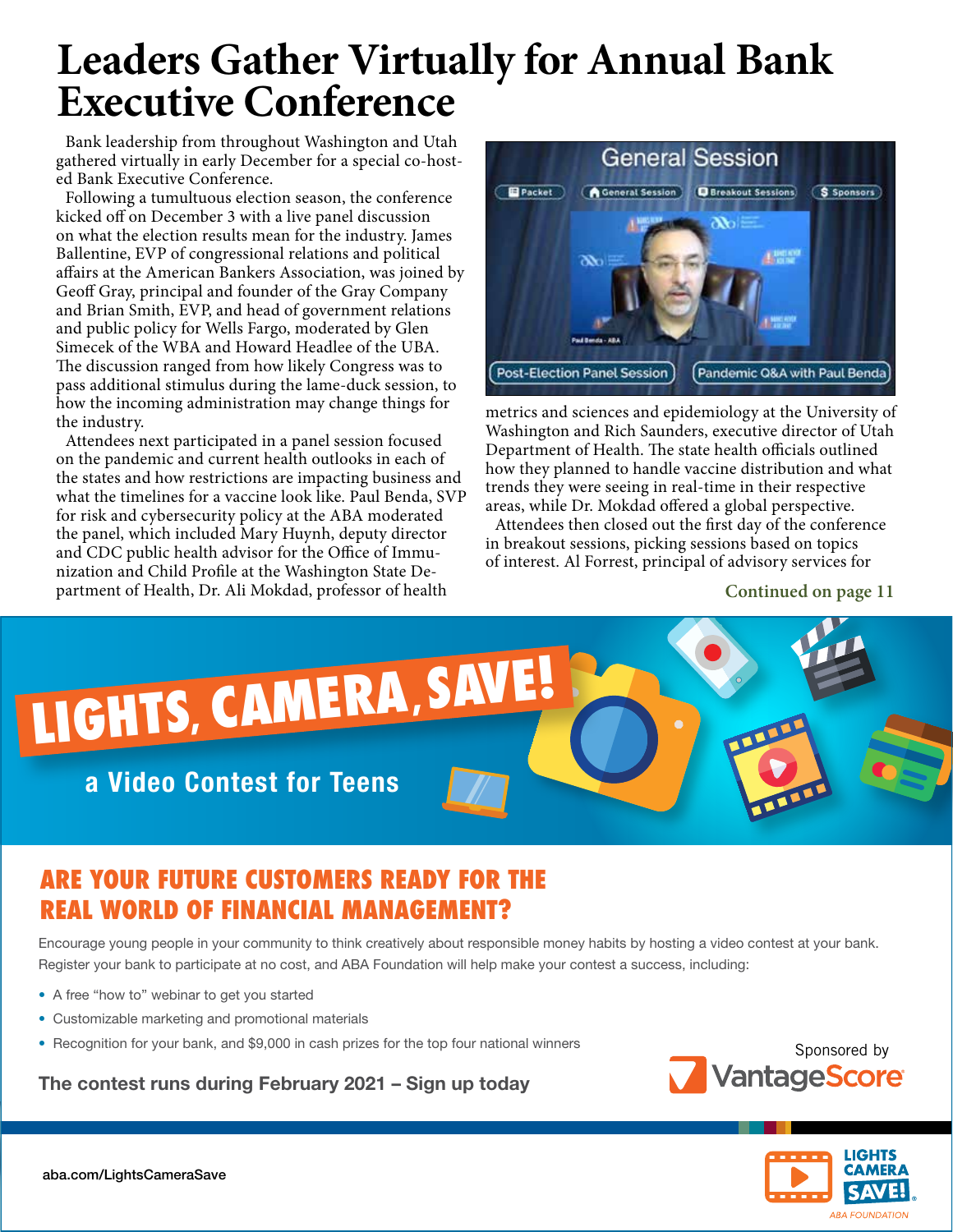# **Leaders Gather Virtually for Annual Bank Executive Conference**

Bank leadership from throughout Washington and Utah gathered virtually in early December for a special co-hosted Bank Executive Conference.

Following a tumultuous election season, the conference kicked off on December 3 with a live panel discussion on what the election results mean for the industry. James Ballentine, EVP of congressional relations and political affairs at the American Bankers Association, was joined by Geoff Gray, principal and founder of the Gray Company and Brian Smith, EVP, and head of government relations and public policy for Wells Fargo, moderated by Glen Simecek of the WBA and Howard Headlee of the UBA. The discussion ranged from how likely Congress was to pass additional stimulus during the lame-duck session, to how the incoming administration may change things for the industry.

Attendees next participated in a panel session focused on the pandemic and current health outlooks in each of the states and how restrictions are impacting business and what the timelines for a vaccine look like. Paul Benda, SVP for risk and cybersecurity policy at the ABA moderated the panel, which included Mary Huynh, deputy director and CDC public health advisor for the Office of Immunization and Child Profile at the Washington State Department of Health, Dr. Ali Mokdad, professor of health



metrics and sciences and epidemiology at the University of Washington and Rich Saunders, executive director of Utah Department of Health. The state health officials outlined how they planned to handle vaccine distribution and what trends they were seeing in real-time in their respective areas, while Dr. Mokdad offered a global perspective.

Attendees then closed out the first day of the conference in breakout sessions, picking sessions based on topics of interest. Al Forrest, principal of advisory services for

**Continued on page 11**



### **ARE YOUR FUTURE CUSTOMERS READY FOR THE REAL WORLD OF FINANCIAL MANAGEMENT?**

Encourage young people in your community to think creatively about responsible money habits by hosting a video contest at your bank. Register your bank to participate at no cost, and ABA Foundation will help make your contest a success, including:

- A free "how to" webinar to get you started
- Customizable marketing and promotional materials
- Recognition for your bank, and \$9,000 in cash prizes for the top four national winners

The contest runs during February 2021 – Sign up today



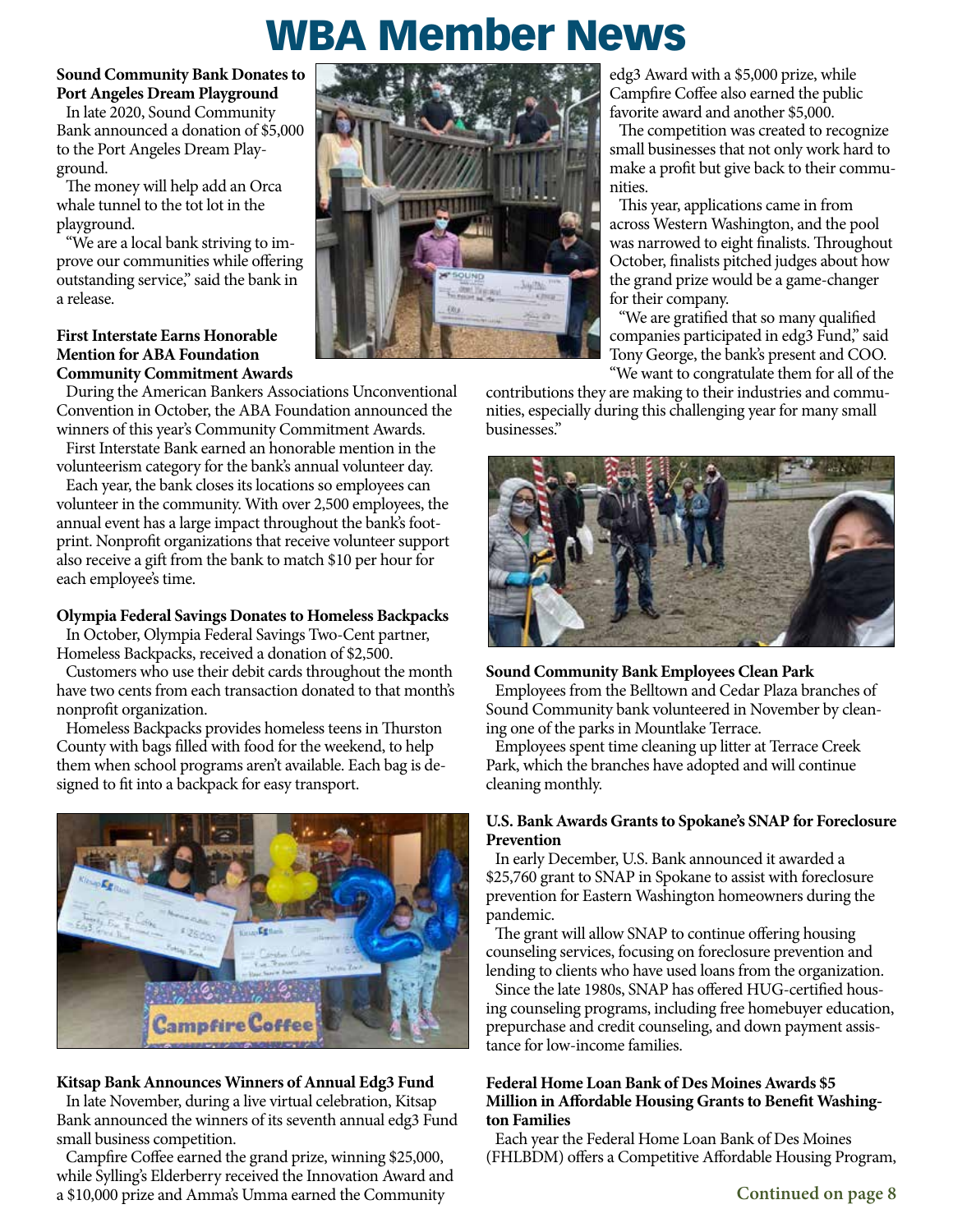# WBA Member News

**Sound Community Bank Donates to Port Angeles Dream Playground**

In late 2020, Sound Community Bank announced a donation of \$5,000 to the Port Angeles Dream Playground.

The money will help add an Orca whale tunnel to the tot lot in the playground.

"We are a local bank striving to improve our communities while offering outstanding service," said the bank in a release.

#### **First Interstate Earns Honorable Mention for ABA Foundation Community Commitment Awards**

During the American Bankers Associations Unconventional Convention in October, the ABA Foundation announced the winners of this year's Community Commitment Awards.

First Interstate Bank earned an honorable mention in the volunteerism category for the bank's annual volunteer day.

Each year, the bank closes its locations so employees can volunteer in the community. With over 2,500 employees, the annual event has a large impact throughout the bank's footprint. Nonprofit organizations that receive volunteer support also receive a gift from the bank to match \$10 per hour for each employee's time.

#### **Olympia Federal Savings Donates to Homeless Backpacks**

In October, Olympia Federal Savings Two-Cent partner,

Homeless Backpacks, received a donation of \$2,500. Customers who use their debit cards throughout the month have two cents from each transaction donated to that month's nonprofit organization.

Homeless Backpacks provides homeless teens in Thurston County with bags filled with food for the weekend, to help them when school programs aren't available. Each bag is designed to fit into a backpack for easy transport.



#### **Kitsap Bank Announces Winners of Annual Edg3 Fund**

In late November, during a live virtual celebration, Kitsap Bank announced the winners of its seventh annual edg3 Fund small business competition.

Campfire Coffee earned the grand prize, winning \$25,000, while Sylling's Elderberry received the Innovation Award and a \$10,000 prize and Amma's Umma earned the Community



edg3 Award with a \$5,000 prize, while Campfire Coffee also earned the public favorite award and another \$5,000.

The competition was created to recognize small businesses that not only work hard to make a profit but give back to their communities.

This year, applications came in from across Western Washington, and the pool was narrowed to eight finalists. Throughout October, finalists pitched judges about how the grand prize would be a game-changer for their company.

"We are gratified that so many qualified companies participated in edg3 Fund," said Tony George, the bank's present and COO. "We want to congratulate them for all of the

contributions they are making to their industries and communities, especially during this challenging year for many small businesses."



#### **Sound Community Bank Employees Clean Park**

Employees from the Belltown and Cedar Plaza branches of Sound Community bank volunteered in November by cleaning one of the parks in Mountlake Terrace.

Employees spent time cleaning up litter at Terrace Creek Park, which the branches have adopted and will continue cleaning monthly.

#### **U.S. Bank Awards Grants to Spokane's SNAP for Foreclosure Prevention**

In early December, U.S. Bank announced it awarded a \$25,760 grant to SNAP in Spokane to assist with foreclosure prevention for Eastern Washington homeowners during the pandemic.

The grant will allow SNAP to continue offering housing counseling services, focusing on foreclosure prevention and lending to clients who have used loans from the organization.

Since the late 1980s, SNAP has offered HUG-certified housing counseling programs, including free homebuyer education, prepurchase and credit counseling, and down payment assistance for low-income families.

#### **Federal Home Loan Bank of Des Moines Awards \$5 Million in Affordable Housing Grants to Benefit Washington Families**

Each year the Federal Home Loan Bank of Des Moines (FHLBDM) offers a Competitive Affordable Housing Program,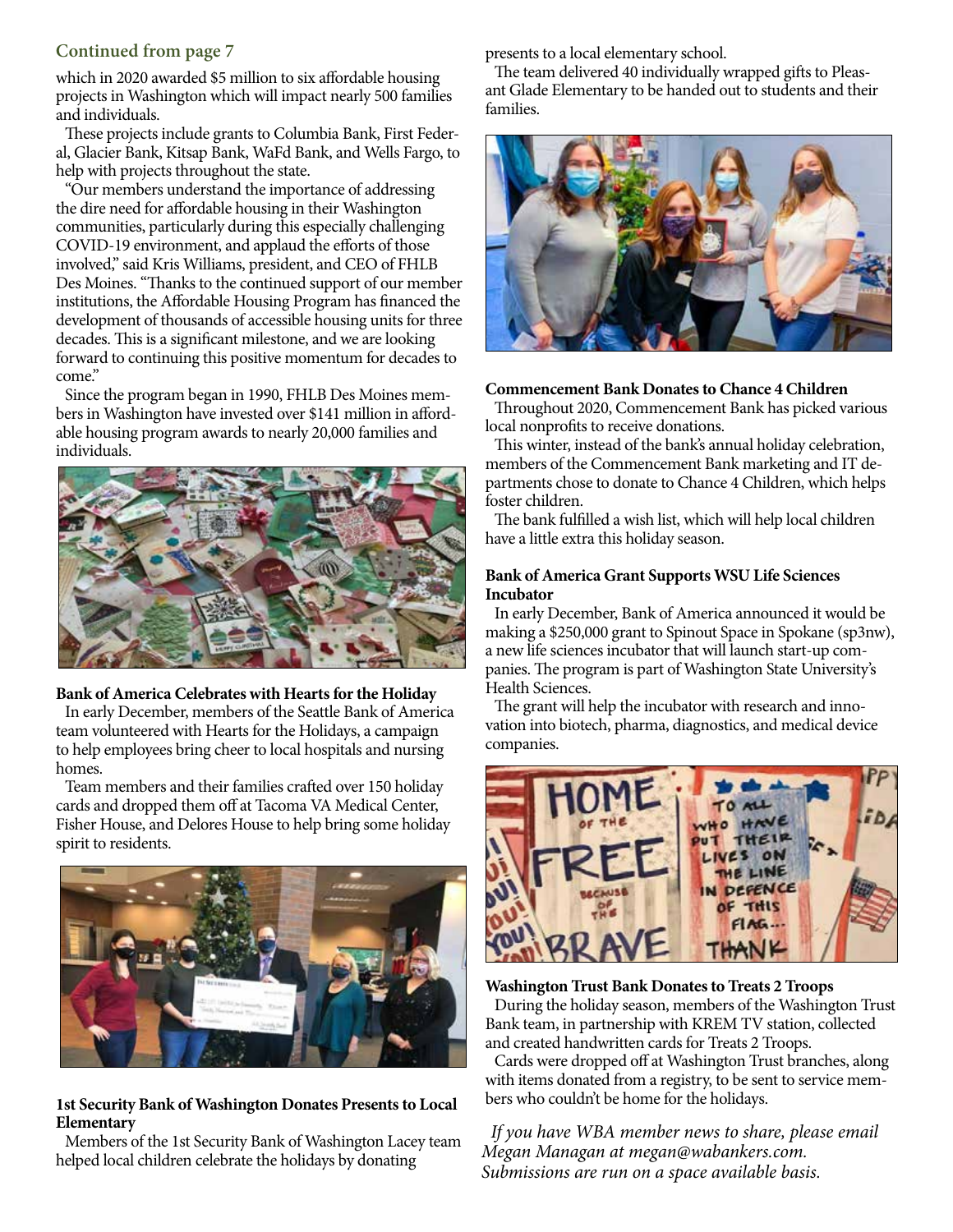#### **Continued from page 7**

which in 2020 awarded \$5 million to six affordable housing projects in Washington which will impact nearly 500 families and individuals.

These projects include grants to Columbia Bank, First Federal, Glacier Bank, Kitsap Bank, WaFd Bank, and Wells Fargo, to help with projects throughout the state.

"Our members understand the importance of addressing the dire need for affordable housing in their Washington communities, particularly during this especially challenging COVID-19 environment, and applaud the efforts of those involved," said Kris Williams, president, and CEO of FHLB Des Moines. "Thanks to the continued support of our member institutions, the Affordable Housing Program has financed the development of thousands of accessible housing units for three decades. This is a significant milestone, and we are looking forward to continuing this positive momentum for decades to come."

Since the program began in 1990, FHLB Des Moines members in Washington have invested over \$141 million in affordable housing program awards to nearly 20,000 families and individuals.



#### **Bank of America Celebrates with Hearts for the Holiday**

In early December, members of the Seattle Bank of America team volunteered with Hearts for the Holidays, a campaign to help employees bring cheer to local hospitals and nursing homes.

Team members and their families crafted over 150 holiday cards and dropped them off at Tacoma VA Medical Center, Fisher House, and Delores House to help bring some holiday spirit to residents.



#### **1st Security Bank of Washington Donates Presents to Local Elementary**

Members of the 1st Security Bank of Washington Lacey team helped local children celebrate the holidays by donating

presents to a local elementary school.

The team delivered 40 individually wrapped gifts to Pleasant Glade Elementary to be handed out to students and their families.



#### **Commencement Bank Donates to Chance 4 Children**

Throughout 2020, Commencement Bank has picked various local nonprofits to receive donations.

This winter, instead of the bank's annual holiday celebration, members of the Commencement Bank marketing and IT departments chose to donate to Chance 4 Children, which helps foster children.

The bank fulfilled a wish list, which will help local children have a little extra this holiday season.

#### **Bank of America Grant Supports WSU Life Sciences Incubator**

In early December, Bank of America announced it would be making a \$250,000 grant to Spinout Space in Spokane (sp3nw), a new life sciences incubator that will launch start-up companies. The program is part of Washington State University's Health Sciences.

The grant will help the incubator with research and innovation into biotech, pharma, diagnostics, and medical device companies.



#### **Washington Trust Bank Donates to Treats 2 Troops**

During the holiday season, members of the Washington Trust Bank team, in partnership with KREM TV station, collected and created handwritten cards for Treats 2 Troops.

Cards were dropped off at Washington Trust branches, along with items donated from a registry, to be sent to service members who couldn't be home for the holidays.

*If you have WBA member news to share, please email Megan Managan at megan@wabankers.com. Submissions are run on a space available basis.*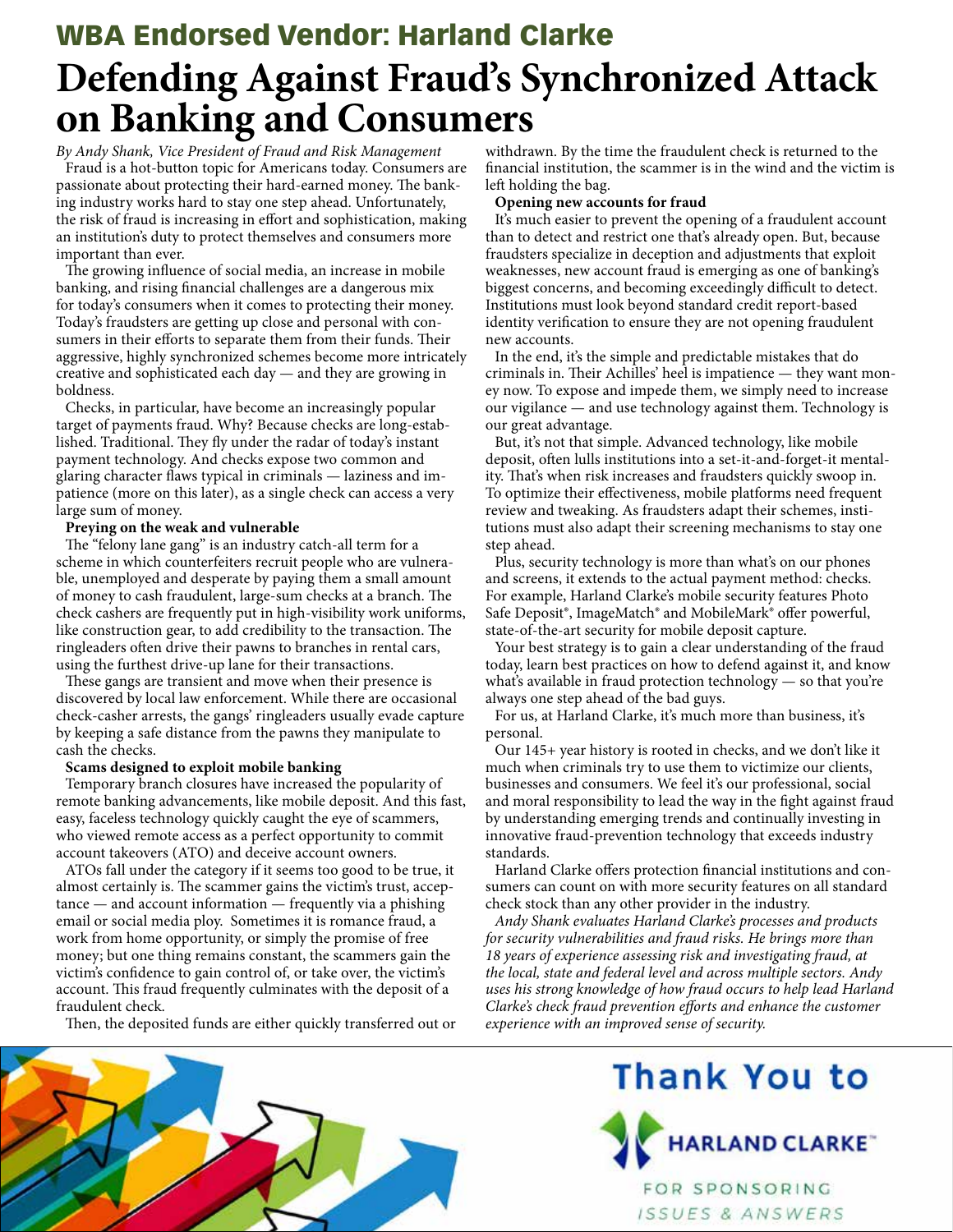## **Defending Against Fraud's Synchronized Attack on Banking and Consumers** WBA Endorsed Vendor: Harland Clarke

*By Andy Shank, Vice President of Fraud and Risk Management* Fraud is a hot-button topic for Americans today. Consumers are passionate about protecting their hard-earned money. The banking industry works hard to stay one step ahead. Unfortunately, the risk of fraud is increasing in effort and sophistication, making an institution's duty to protect themselves and consumers more important than ever.

The growing influence of social media, an increase in mobile banking, and rising financial challenges are a dangerous mix for today's consumers when it comes to protecting their money. Today's fraudsters are getting up close and personal with consumers in their efforts to separate them from their funds. Their aggressive, highly synchronized schemes become more intricately creative and sophisticated each day — and they are growing in boldness.

Checks, in particular, have become an increasingly popular target of payments fraud. Why? Because checks are long-established. Traditional. They fly under the radar of today's instant payment technology. And checks expose two common and glaring character flaws typical in criminals — laziness and impatience (more on this later), as a single check can access a very large sum of money.

#### **Preying on the weak and vulnerable**

The "felony lane gang" is an industry catch-all term for a scheme in which counterfeiters recruit people who are vulnerable, unemployed and desperate by paying them a small amount of money to cash fraudulent, large-sum checks at a branch. The check cashers are frequently put in high-visibility work uniforms, like construction gear, to add credibility to the transaction. The ringleaders often drive their pawns to branches in rental cars, using the furthest drive-up lane for their transactions.

These gangs are transient and move when their presence is discovered by local law enforcement. While there are occasional check-casher arrests, the gangs' ringleaders usually evade capture by keeping a safe distance from the pawns they manipulate to cash the checks.

#### **Scams designed to exploit mobile banking**

Temporary branch closures have increased the popularity of remote banking advancements, like mobile deposit. And this fast, easy, faceless technology quickly caught the eye of scammers, who viewed remote access as a perfect opportunity to commit account takeovers (ATO) and deceive account owners.

ATOs fall under the category if it seems too good to be true, it almost certainly is. The scammer gains the victim's trust, acceptance — and account information — frequently via a phishing email or social media ploy. Sometimes it is romance fraud, a work from home opportunity, or simply the promise of free money; but one thing remains constant, the scammers gain the victim's confidence to gain control of, or take over, the victim's account. This fraud frequently culminates with the deposit of a fraudulent check.

Then, the deposited funds are either quickly transferred out or

withdrawn. By the time the fraudulent check is returned to the financial institution, the scammer is in the wind and the victim is left holding the bag.

#### **Opening new accounts for fraud**

It's much easier to prevent the opening of a fraudulent account than to detect and restrict one that's already open. But, because fraudsters specialize in deception and adjustments that exploit weaknesses, new account fraud is emerging as one of banking's biggest concerns, and becoming exceedingly difficult to detect. Institutions must look beyond standard credit report-based identity verification to ensure they are not opening fraudulent new accounts.

In the end, it's the simple and predictable mistakes that do criminals in. Their Achilles' heel is impatience — they want money now. To expose and impede them, we simply need to increase our vigilance — and use technology against them. Technology is our great advantage.

But, it's not that simple. Advanced technology, like mobile deposit, often lulls institutions into a set-it-and-forget-it mentality. That's when risk increases and fraudsters quickly swoop in. To optimize their effectiveness, mobile platforms need frequent review and tweaking. As fraudsters adapt their schemes, institutions must also adapt their screening mechanisms to stay one step ahead.

Plus, security technology is more than what's on our phones and screens, it extends to the actual payment method: checks. For example, Harland Clarke's mobile security features Photo Safe Deposit®, ImageMatch® and MobileMark® offer powerful, state-of-the-art security for mobile deposit capture.

Your best strategy is to gain a clear understanding of the fraud today, learn best practices on how to defend against it, and know what's available in fraud protection technology — so that you're always one step ahead of the bad guys.

For us, at Harland Clarke, it's much more than business, it's personal.

Our 145+ year history is rooted in checks, and we don't like it much when criminals try to use them to victimize our clients, businesses and consumers. We feel it's our professional, social and moral responsibility to lead the way in the fight against fraud by understanding emerging trends and continually investing in innovative fraud-prevention technology that exceeds industry standards.

Harland Clarke offers protection financial institutions and consumers can count on with more security features on all standard check stock than any other provider in the industry.

*Andy Shank evaluates Harland Clarke's processes and products for security vulnerabilities and fraud risks. He brings more than 18 years of experience assessing risk and investigating fraud, at the local, state and federal level and across multiple sectors. Andy uses his strong knowledge of how fraud occurs to help lead Harland Clarke's check fraud prevention efforts and enhance the customer experience with an improved sense of security.*



# Thank You to



FOR SPONSORING ISSUES & ANSWERS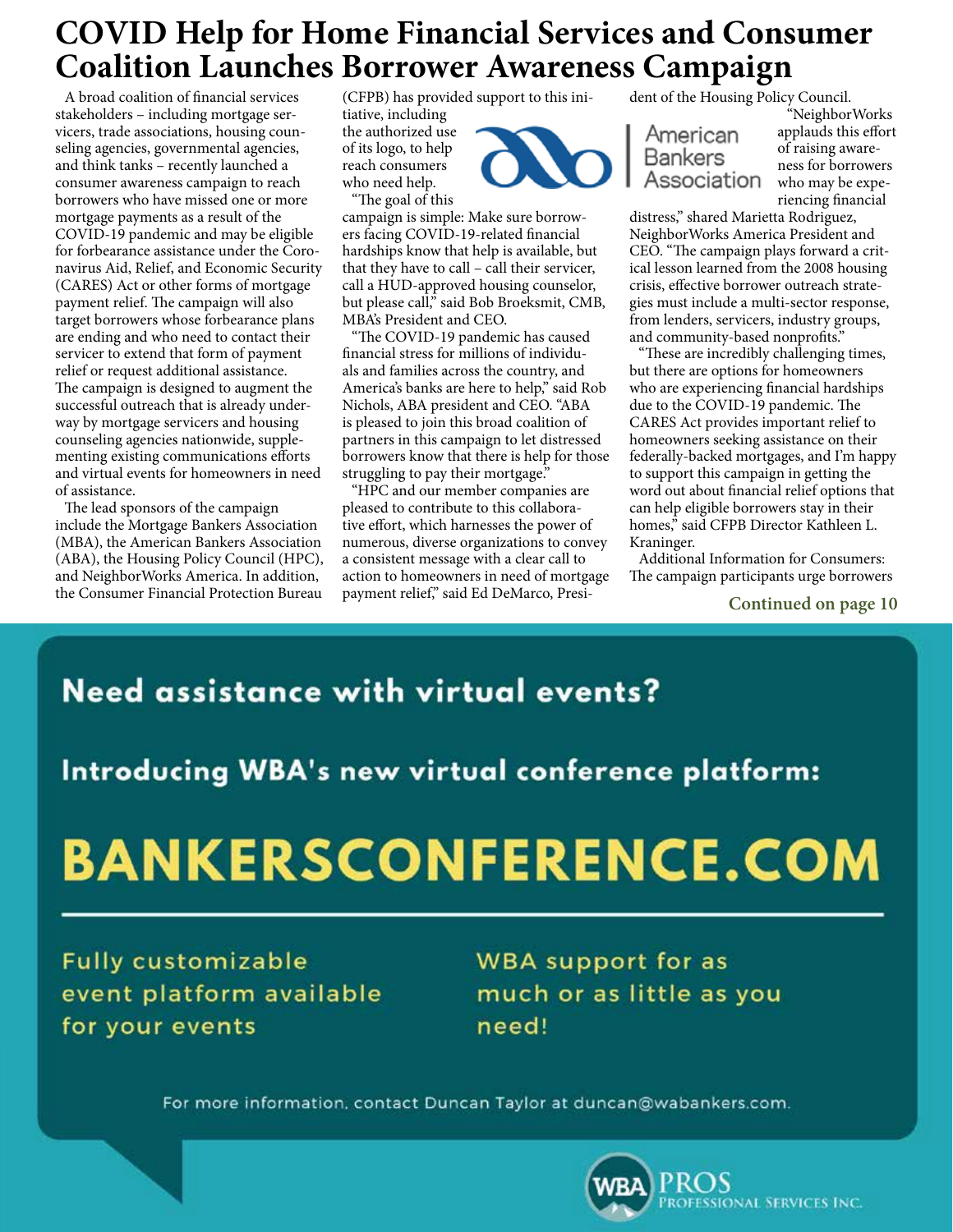## **COVID Help for Home Financial Services and Consumer Coalition Launches Borrower Awareness Campaign**

A broad coalition of financial services stakeholders – including mortgage servicers, trade associations, housing counseling agencies, governmental agencies, and think tanks – recently launched a consumer awareness campaign to reach borrowers who have missed one or more mortgage payments as a result of the COVID-19 pandemic and may be eligible for forbearance assistance under the Coronavirus Aid, Relief, and Economic Security (CARES) Act or other forms of mortgage payment relief. The campaign will also target borrowers whose forbearance plans are ending and who need to contact their servicer to extend that form of payment relief or request additional assistance. The campaign is designed to augment the successful outreach that is already underway by mortgage servicers and housing counseling agencies nationwide, supplementing existing communications efforts and virtual events for homeowners in need of assistance.

The lead sponsors of the campaign include the Mortgage Bankers Association (MBA), the American Bankers Association (ABA), the Housing Policy Council (HPC), and NeighborWorks America. In addition, the Consumer Financial Protection Bureau

(CFPB) has provided support to this ini-

tiative, including the authorized use of its logo, to help reach consumers who need help.

"The goal of this

campaign is simple: Make sure borrowers facing COVID-19-related financial hardships know that help is available, but that they have to call – call their servicer, call a HUD-approved housing counselor, but please call," said Bob Broeksmit, CMB, MBA's President and CEO.

"The COVID-19 pandemic has caused financial stress for millions of individuals and families across the country, and America's banks are here to help," said Rob Nichols, ABA president and CEO. "ABA is pleased to join this broad coalition of partners in this campaign to let distressed borrowers know that there is help for those struggling to pay their mortgage.

"HPC and our member companies are pleased to contribute to this collaborative effort, which harnesses the power of numerous, diverse organizations to convey a consistent message with a clear call to action to homeowners in need of mortgage payment relief," said Ed DeMarco, Presi-

dent of the Housing Policy Council.

American Bankers Association

"NeighborWorks applauds this effort of raising awareness for borrowers who may be experiencing financial

distress," shared Marietta Rodriguez, NeighborWorks America President and CEO. "The campaign plays forward a critical lesson learned from the 2008 housing crisis, effective borrower outreach strategies must include a multi-sector response, from lenders, servicers, industry groups, and community-based nonprofits."

"These are incredibly challenging times, but there are options for homeowners who are experiencing financial hardships due to the COVID-19 pandemic. The CARES Act provides important relief to homeowners seeking assistance on their federally-backed mortgages, and I'm happy to support this campaign in getting the word out about financial relief options that can help eligible borrowers stay in their homes," said CFPB Director Kathleen L. Kraninger.

Additional Information for Consumers: The campaign participants urge borrowers

**Continued on page 10**

## **Need assistance with virtual events?**

Introducing WBA's new virtual conference platform:

# **BANKERSCONFERENCE.COM**

**Fully customizable** event platform available for your events

**WBA** support for as much or as little as you need!

For more information, contact Duncan Taylor at duncan@wabankers.com.

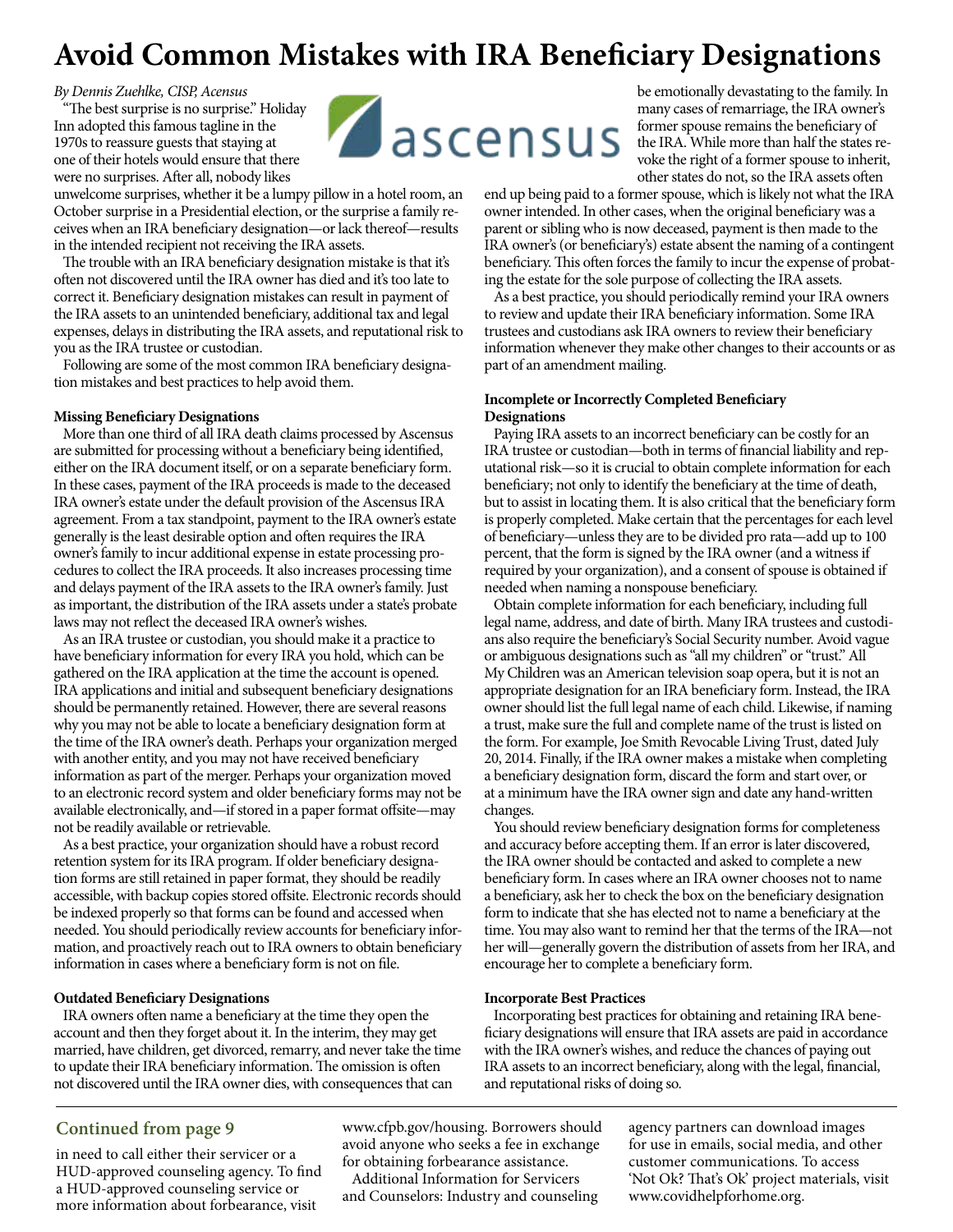## **Avoid Common Mistakes with IRA Beneficiary Designations**

#### *By Dennis Zuehlke, CISP, Acensus*

"The best surprise is no surprise." Holiday Inn adopted this famous tagline in the 1970s to reassure guests that staying at one of their hotels would ensure that there were no surprises. After all, nobody likes

unwelcome surprises, whether it be a lumpy pillow in a hotel room, an October surprise in a Presidential election, or the surprise a family receives when an IRA beneficiary designation—or lack thereof—results in the intended recipient not receiving the IRA assets.

The trouble with an IRA beneficiary designation mistake is that it's often not discovered until the IRA owner has died and it's too late to correct it. Beneficiary designation mistakes can result in payment of the IRA assets to an unintended beneficiary, additional tax and legal expenses, delays in distributing the IRA assets, and reputational risk to you as the IRA trustee or custodian.

Following are some of the most common IRA beneficiary designation mistakes and best practices to help avoid them.

#### **Missing Beneficiary Designations**

More than one third of all IRA death claims processed by Ascensus are submitted for processing without a beneficiary being identified, either on the IRA document itself, or on a separate beneficiary form. In these cases, payment of the IRA proceeds is made to the deceased IRA owner's estate under the default provision of the Ascensus IRA agreement. From a tax standpoint, payment to the IRA owner's estate generally is the least desirable option and often requires the IRA owner's family to incur additional expense in estate processing procedures to collect the IRA proceeds. It also increases processing time and delays payment of the IRA assets to the IRA owner's family. Just as important, the distribution of the IRA assets under a state's probate laws may not reflect the deceased IRA owner's wishes.

As an IRA trustee or custodian, you should make it a practice to have beneficiary information for every IRA you hold, which can be gathered on the IRA application at the time the account is opened. IRA applications and initial and subsequent beneficiary designations should be permanently retained. However, there are several reasons why you may not be able to locate a beneficiary designation form at the time of the IRA owner's death. Perhaps your organization merged with another entity, and you may not have received beneficiary information as part of the merger. Perhaps your organization moved to an electronic record system and older beneficiary forms may not be available electronically, and—if stored in a paper format offsite—may not be readily available or retrievable.

As a best practice, your organization should have a robust record retention system for its IRA program. If older beneficiary designation forms are still retained in paper format, they should be readily accessible, with backup copies stored offsite. Electronic records should be indexed properly so that forms can be found and accessed when needed. You should periodically review accounts for beneficiary information, and proactively reach out to IRA owners to obtain beneficiary information in cases where a beneficiary form is not on file.

#### **Outdated Beneficiary Designations**

IRA owners often name a beneficiary at the time they open the account and then they forget about it. In the interim, they may get married, have children, get divorced, remarry, and never take the time to update their IRA beneficiary information. The omission is often not discovered until the IRA owner dies, with consequences that can



be emotionally devastating to the family. In many cases of remarriage, the IRA owner's former spouse remains the beneficiary of the IRA. While more than half the states revoke the right of a former spouse to inherit, other states do not, so the IRA assets often

end up being paid to a former spouse, which is likely not what the IRA owner intended. In other cases, when the original beneficiary was a parent or sibling who is now deceased, payment is then made to the IRA owner's (or beneficiary's) estate absent the naming of a contingent beneficiary. This often forces the family to incur the expense of probating the estate for the sole purpose of collecting the IRA assets.

As a best practice, you should periodically remind your IRA owners to review and update their IRA beneficiary information. Some IRA trustees and custodians ask IRA owners to review their beneficiary information whenever they make other changes to their accounts or as part of an amendment mailing.

#### **Incomplete or Incorrectly Completed Beneficiary Designations**

Paying IRA assets to an incorrect beneficiary can be costly for an IRA trustee or custodian—both in terms of financial liability and reputational risk—so it is crucial to obtain complete information for each beneficiary; not only to identify the beneficiary at the time of death, but to assist in locating them. It is also critical that the beneficiary form is properly completed. Make certain that the percentages for each level of beneficiary—unless they are to be divided pro rata—add up to 100 percent, that the form is signed by the IRA owner (and a witness if required by your organization), and a consent of spouse is obtained if needed when naming a nonspouse beneficiary.

Obtain complete information for each beneficiary, including full legal name, address, and date of birth. Many IRA trustees and custodians also require the beneficiary's Social Security number. Avoid vague or ambiguous designations such as "all my children" or "trust." All My Children was an American television soap opera, but it is not an appropriate designation for an IRA beneficiary form. Instead, the IRA owner should list the full legal name of each child. Likewise, if naming a trust, make sure the full and complete name of the trust is listed on the form. For example, Joe Smith Revocable Living Trust, dated July 20, 2014. Finally, if the IRA owner makes a mistake when completing a beneficiary designation form, discard the form and start over, or at a minimum have the IRA owner sign and date any hand-written changes.

You should review beneficiary designation forms for completeness and accuracy before accepting them. If an error is later discovered, the IRA owner should be contacted and asked to complete a new beneficiary form. In cases where an IRA owner chooses not to name a beneficiary, ask her to check the box on the beneficiary designation form to indicate that she has elected not to name a beneficiary at the time. You may also want to remind her that the terms of the IRA—not her will—generally govern the distribution of assets from her IRA, and encourage her to complete a beneficiary form.

#### **Incorporate Best Practices**

Incorporating best practices for obtaining and retaining IRA beneficiary designations will ensure that IRA assets are paid in accordance with the IRA owner's wishes, and reduce the chances of paying out IRA assets to an incorrect beneficiary, along with the legal, financial, and reputational risks of doing so.

#### **Continued from page 9**

in need to call either their servicer or a HUD-approved counseling agency. To find a HUD-approved counseling service or more information about forbearance, visit

www.cfpb.gov/housing. Borrowers should avoid anyone who seeks a fee in exchange for obtaining forbearance assistance.

Additional Information for Servicers and Counselors: Industry and counseling agency partners can download images for use in emails, social media, and other customer communications. To access 'Not Ok? That's Ok' project materials, visit www.covidhelpforhome.org.